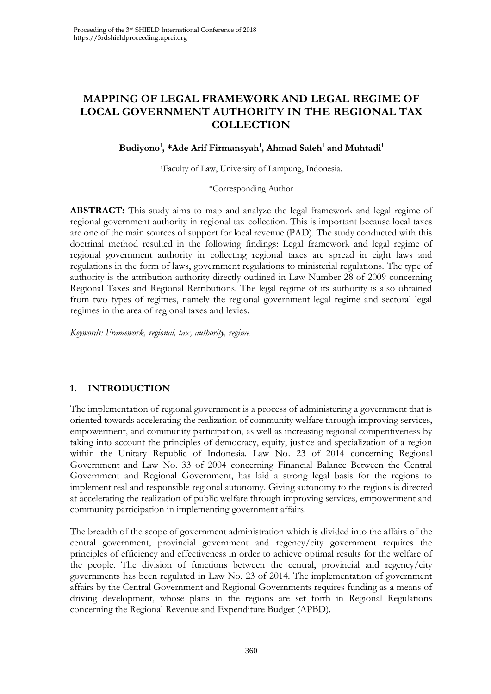# **MAPPING OF LEGAL FRAMEWORK AND LEGAL REGIME OF LOCAL GOVERNMENT AUTHORITY IN THE REGIONAL TAX COLLECTION**

#### **Budiyono<sup>1</sup> , \*Ade Arif Firmansyah<sup>1</sup> , Ahmad Saleh<sup>1</sup> and Muhtadi<sup>1</sup>**

<sup>1</sup>Faculty of Law, University of Lampung, Indonesia.

#### \*Corresponding Author

**ABSTRACT:** This study aims to map and analyze the legal framework and legal regime of regional government authority in regional tax collection. This is important because local taxes are one of the main sources of support for local revenue (PAD). The study conducted with this doctrinal method resulted in the following findings: Legal framework and legal regime of regional government authority in collecting regional taxes are spread in eight laws and regulations in the form of laws, government regulations to ministerial regulations. The type of authority is the attribution authority directly outlined in Law Number 28 of 2009 concerning Regional Taxes and Regional Retributions. The legal regime of its authority is also obtained from two types of regimes, namely the regional government legal regime and sectoral legal regimes in the area of regional taxes and levies.

*Keywords: Framework, regional, tax, authority, regime.*

#### **1. INTRODUCTION**

The implementation of regional government is a process of administering a government that is oriented towards accelerating the realization of community welfare through improving services, empowerment, and community participation, as well as increasing regional competitiveness by taking into account the principles of democracy, equity, justice and specialization of a region within the Unitary Republic of Indonesia. Law No. 23 of 2014 concerning Regional Government and Law No. 33 of 2004 concerning Financial Balance Between the Central Government and Regional Government, has laid a strong legal basis for the regions to implement real and responsible regional autonomy. Giving autonomy to the regions is directed at accelerating the realization of public welfare through improving services, empowerment and community participation in implementing government affairs.

The breadth of the scope of government administration which is divided into the affairs of the central government, provincial government and regency/city government requires the principles of efficiency and effectiveness in order to achieve optimal results for the welfare of the people. The division of functions between the central, provincial and regency/city governments has been regulated in Law No. 23 of 2014. The implementation of government affairs by the Central Government and Regional Governments requires funding as a means of driving development, whose plans in the regions are set forth in Regional Regulations concerning the Regional Revenue and Expenditure Budget (APBD).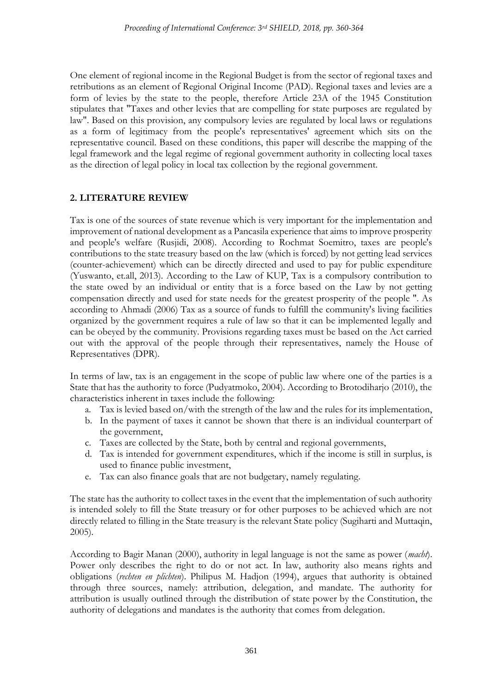One element of regional income in the Regional Budget is from the sector of regional taxes and retributions as an element of Regional Original Income (PAD). Regional taxes and levies are a form of levies by the state to the people, therefore Article 23A of the 1945 Constitution stipulates that "Taxes and other levies that are compelling for state purposes are regulated by law". Based on this provision, any compulsory levies are regulated by local laws or regulations as a form of legitimacy from the people's representatives' agreement which sits on the representative council. Based on these conditions, this paper will describe the mapping of the legal framework and the legal regime of regional government authority in collecting local taxes as the direction of legal policy in local tax collection by the regional government.

## **2. LITERATURE REVIEW**

Tax is one of the sources of state revenue which is very important for the implementation and improvement of national development as a Pancasila experience that aims to improve prosperity and people's welfare (Rusjidi, 2008). According to Rochmat Soemitro, taxes are people's contributions to the state treasury based on the law (which is forced) by not getting lead services (counter-achievement) which can be directly directed and used to pay for public expenditure (Yuswanto, et.all, 2013). According to the Law of KUP, Tax is a compulsory contribution to the state owed by an individual or entity that is a force based on the Law by not getting compensation directly and used for state needs for the greatest prosperity of the people ". As according to Ahmadi (2006) Tax as a source of funds to fulfill the community's living facilities organized by the government requires a rule of law so that it can be implemented legally and can be obeyed by the community. Provisions regarding taxes must be based on the Act carried out with the approval of the people through their representatives, namely the House of Representatives (DPR).

In terms of law, tax is an engagement in the scope of public law where one of the parties is a State that has the authority to force (Pudyatmoko, 2004). According to Brotodiharjo (2010), the characteristics inherent in taxes include the following:

- a. Tax is levied based on/with the strength of the law and the rules for its implementation,
- b. In the payment of taxes it cannot be shown that there is an individual counterpart of the government,
- c. Taxes are collected by the State, both by central and regional governments,
- d. Tax is intended for government expenditures, which if the income is still in surplus, is used to finance public investment,
- e. Tax can also finance goals that are not budgetary, namely regulating.

The state has the authority to collect taxes in the event that the implementation of such authority is intended solely to fill the State treasury or for other purposes to be achieved which are not directly related to filling in the State treasury is the relevant State policy (Sugiharti and Muttaqin, 2005).

According to Bagir Manan (2000), authority in legal language is not the same as power (*macht*). Power only describes the right to do or not act. In law, authority also means rights and obligations (*rechten en plichten*). Philipus M. Hadjon (1994), argues that authority is obtained through three sources, namely: attribution, delegation, and mandate. The authority for attribution is usually outlined through the distribution of state power by the Constitution, the authority of delegations and mandates is the authority that comes from delegation.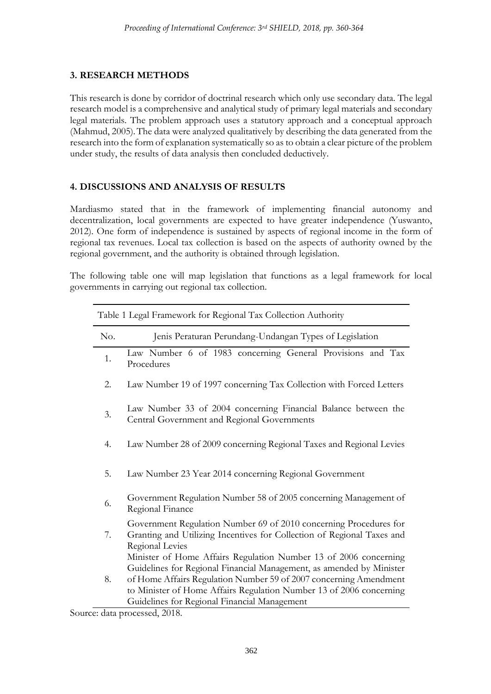### **3. RESEARCH METHODS**

This research is done by corridor of doctrinal research which only use secondary data. The legal research model is a comprehensive and analytical study of primary legal materials and secondary legal materials. The problem approach uses a statutory approach and a conceptual approach (Mahmud, 2005). The data were analyzed qualitatively by describing the data generated from the research into the form of explanation systematically so as to obtain a clear picture of the problem under study, the results of data analysis then concluded deductively.

## **4. DISCUSSIONS AND ANALYSIS OF RESULTS**

Mardiasmo stated that in the framework of implementing financial autonomy and decentralization, local governments are expected to have greater independence (Yuswanto, 2012). One form of independence is sustained by aspects of regional income in the form of regional tax revenues. Local tax collection is based on the aspects of authority owned by the regional government, and the authority is obtained through legislation.

The following table one will map legislation that functions as a legal framework for local governments in carrying out regional tax collection.

| Table 1 Legal Framework for Regional Tax Collection Authority |                                                                                                                                                                                                                                                                                                                                      |
|---------------------------------------------------------------|--------------------------------------------------------------------------------------------------------------------------------------------------------------------------------------------------------------------------------------------------------------------------------------------------------------------------------------|
| No.                                                           | Jenis Peraturan Perundang-Undangan Types of Legislation                                                                                                                                                                                                                                                                              |
| 1.                                                            | Law Number 6 of 1983 concerning General Provisions and Tax<br>Procedures                                                                                                                                                                                                                                                             |
| 2.                                                            | Law Number 19 of 1997 concerning Tax Collection with Forced Letters                                                                                                                                                                                                                                                                  |
| 3.                                                            | Law Number 33 of 2004 concerning Financial Balance between the<br>Central Government and Regional Governments                                                                                                                                                                                                                        |
| 4.                                                            | Law Number 28 of 2009 concerning Regional Taxes and Regional Levies                                                                                                                                                                                                                                                                  |
| 5.                                                            | Law Number 23 Year 2014 concerning Regional Government                                                                                                                                                                                                                                                                               |
| 6.                                                            | Government Regulation Number 58 of 2005 concerning Management of<br>Regional Finance                                                                                                                                                                                                                                                 |
| 7.                                                            | Government Regulation Number 69 of 2010 concerning Procedures for<br>Granting and Utilizing Incentives for Collection of Regional Taxes and<br>Regional Levies                                                                                                                                                                       |
| 8.                                                            | Minister of Home Affairs Regulation Number 13 of 2006 concerning<br>Guidelines for Regional Financial Management, as amended by Minister<br>of Home Affairs Regulation Number 59 of 2007 concerning Amendment<br>to Minister of Home Affairs Regulation Number 13 of 2006 concerning<br>Guidelines for Regional Financial Management |

Source: data processed, 2018.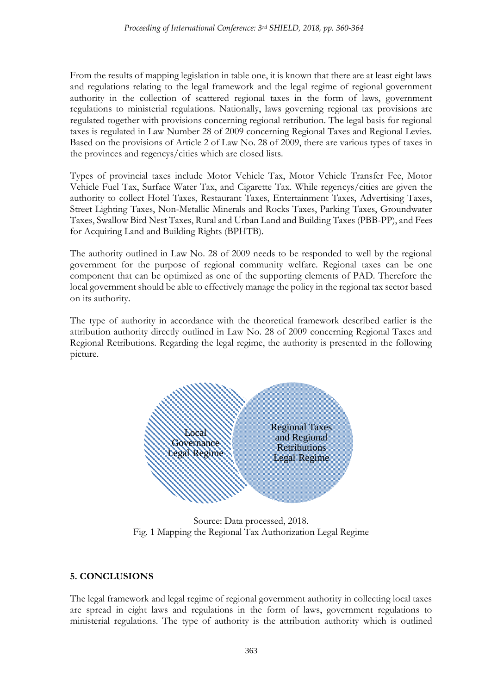From the results of mapping legislation in table one, it is known that there are at least eight laws and regulations relating to the legal framework and the legal regime of regional government authority in the collection of scattered regional taxes in the form of laws, government regulations to ministerial regulations. Nationally, laws governing regional tax provisions are regulated together with provisions concerning regional retribution. The legal basis for regional taxes is regulated in Law Number 28 of 2009 concerning Regional Taxes and Regional Levies. Based on the provisions of Article 2 of Law No. 28 of 2009, there are various types of taxes in the provinces and regencys/cities which are closed lists.

Types of provincial taxes include Motor Vehicle Tax, Motor Vehicle Transfer Fee, Motor Vehicle Fuel Tax, Surface Water Tax, and Cigarette Tax. While regencys/cities are given the authority to collect Hotel Taxes, Restaurant Taxes, Entertainment Taxes, Advertising Taxes, Street Lighting Taxes, Non-Metallic Minerals and Rocks Taxes, Parking Taxes, Groundwater Taxes, Swallow Bird Nest Taxes, Rural and Urban Land and Building Taxes (PBB-PP), and Fees for Acquiring Land and Building Rights (BPHTB).

The authority outlined in Law No. 28 of 2009 needs to be responded to well by the regional government for the purpose of regional community welfare. Regional taxes can be one component that can be optimized as one of the supporting elements of PAD. Therefore the local government should be able to effectively manage the policy in the regional tax sector based on its authority.

The type of authority in accordance with the theoretical framework described earlier is the attribution authority directly outlined in Law No. 28 of 2009 concerning Regional Taxes and Regional Retributions. Regarding the legal regime, the authority is presented in the following picture.



Source: Data processed, 2018. Fig. 1 Mapping the Regional Tax Authorization Legal Regime

#### **5. CONCLUSIONS**

The legal framework and legal regime of regional government authority in collecting local taxes are spread in eight laws and regulations in the form of laws, government regulations to ministerial regulations. The type of authority is the attribution authority which is outlined